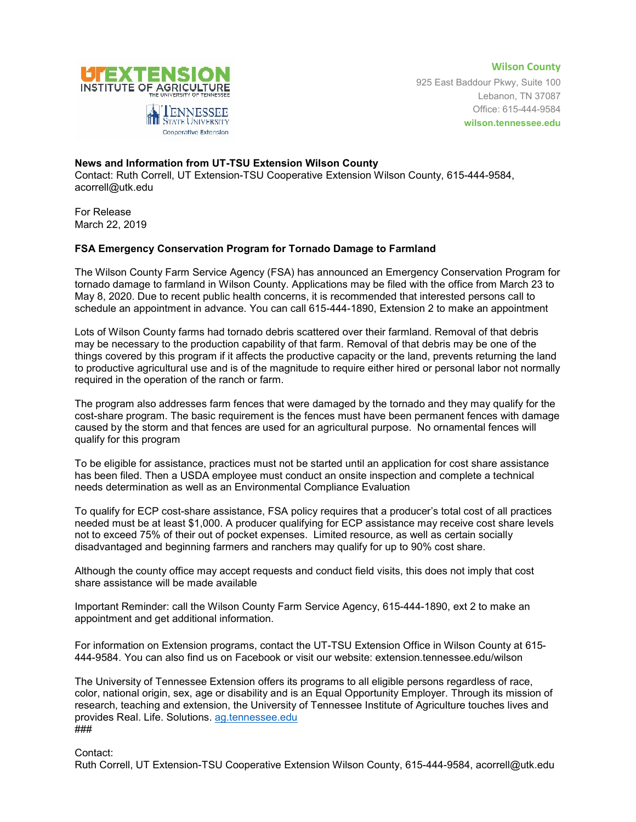

**Wilson County** 925 East Baddour Pkwy, Suite 100 Lebanon, TN 37087 Office: 615-444-9584 **wilson.tennessee.edu**

## **News and Information from UT-TSU Extension Wilson County**

Cooperative Extension

Contact: Ruth Correll, UT Extension-TSU Cooperative Extension Wilson County, 615-444-9584, acorrell@utk.edu

For Release March 22, 2019

## **FSA Emergency Conservation Program for Tornado Damage to Farmland**

The Wilson County Farm Service Agency (FSA) has announced an Emergency Conservation Program for tornado damage to farmland in Wilson County. Applications may be filed with the office from March 23 to May 8, 2020. Due to recent public health concerns, it is recommended that interested persons call to schedule an appointment in advance. You can call 615-444-1890, Extension 2 to make an appointment

Lots of Wilson County farms had tornado debris scattered over their farmland. Removal of that debris may be necessary to the production capability of that farm. Removal of that debris may be one of the things covered by this program if it affects the productive capacity or the land, prevents returning the land to productive agricultural use and is of the magnitude to require either hired or personal labor not normally required in the operation of the ranch or farm.

The program also addresses farm fences that were damaged by the tornado and they may qualify for the cost-share program. The basic requirement is the fences must have been permanent fences with damage caused by the storm and that fences are used for an agricultural purpose. No ornamental fences will qualify for this program

To be eligible for assistance, practices must not be started until an application for cost share assistance has been filed. Then a USDA employee must conduct an onsite inspection and complete a technical needs determination as well as an Environmental Compliance Evaluation

To qualify for ECP cost-share assistance, FSA policy requires that a producer's total cost of all practices needed must be at least \$1,000. A producer qualifying for ECP assistance may receive cost share levels not to exceed 75% of their out of pocket expenses. Limited resource, as well as certain socially disadvantaged and beginning farmers and ranchers may qualify for up to 90% cost share.

Although the county office may accept requests and conduct field visits, this does not imply that cost share assistance will be made available

Important Reminder: call the Wilson County Farm Service Agency, 615-444-1890, ext 2 to make an appointment and get additional information.

For information on Extension programs, contact the UT-TSU Extension Office in Wilson County at 615- 444-9584. You can also find us on Facebook or visit our website: extension.tennessee.edu/wilson

The University of Tennessee Extension offers its programs to all eligible persons regardless of race, color, national origin, sex, age or disability and is an Equal Opportunity Employer. Through its mission of research, teaching and extension, the University of Tennessee Institute of Agriculture touches lives and provides Real. Life. Solutions. [ag.tennessee.edu](http://ag.tennessee.edu/) ###

Contact:

Ruth Correll, UT Extension-TSU Cooperative Extension Wilson County, 615-444-9584, acorrell@utk.edu